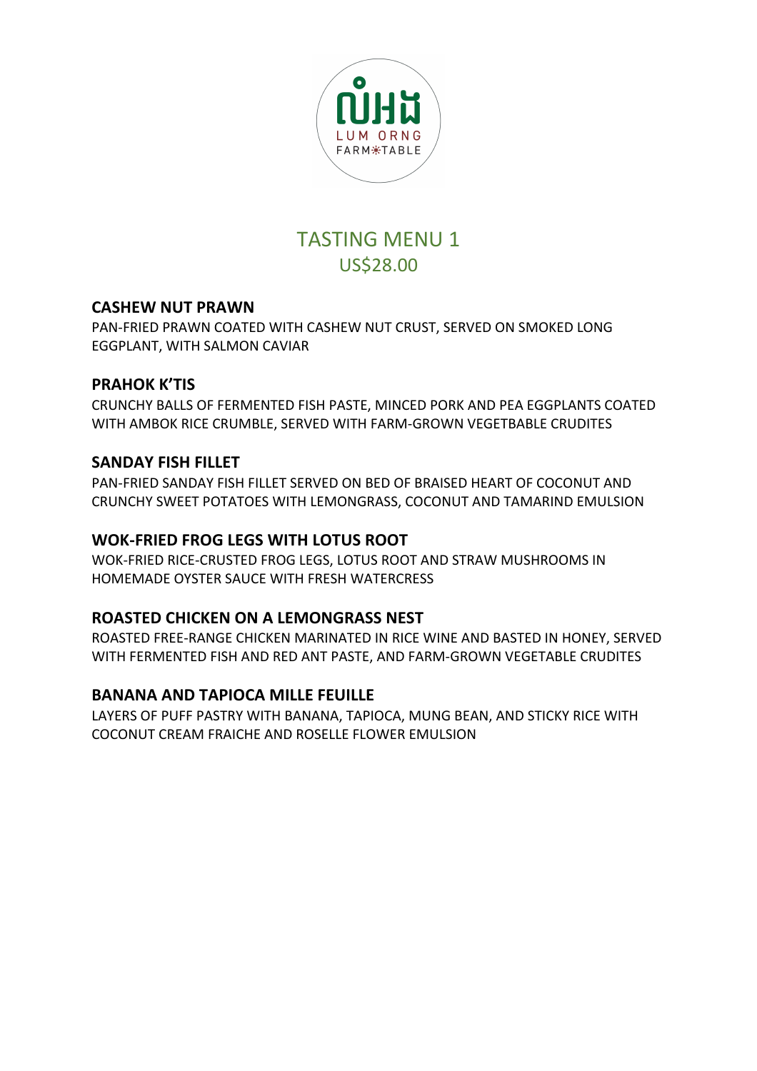

# **TASTING MENU 1** US\$28.00

# **CASHEW NUT PRAWN**

PAN-FRIED PRAWN COATED WITH CASHEW NUT CRUST, SERVED ON SMOKED LONG EGGPLANT, WITH SALMON CAVIAR

### **PRAHOK K'TIS**

CRUNCHY BALLS OF FERMENTED FISH PASTE, MINCED PORK AND PEA EGGPLANTS COATED WITH AMBOK RICE CRUMBLE, SERVED WITH FARM-GROWN VEGETBABLE CRUDITES

# **SANDAY FISH FILLET**

PAN-FRIED SANDAY FISH FILLET SERVED ON BED OF BRAISED HEART OF COCONUT AND CRUNCHY SWEET POTATOES WITH LEMONGRASS, COCONUT AND TAMARIND EMULSION

### **WOK-FRIED FROG LEGS WITH LOTUS ROOT**

WOK-FRIED RICE-CRUSTED FROG LEGS, LOTUS ROOT AND STRAW MUSHROOMS IN HOMEMADE OYSTER SAUCE WITH FRESH WATERCRESS

# **ROASTED CHICKEN ON A LEMONGRASS NEST**

ROASTED FREE-RANGE CHICKEN MARINATED IN RICE WINE AND BASTED IN HONEY, SERVED WITH FERMENTED FISH AND RED ANT PASTE, AND FARM-GROWN VEGETABLE CRUDITES

### **BANANA AND TAPIOCA MILLE FEUILLE**

LAYERS OF PUFF PASTRY WITH BANANA, TAPIOCA, MUNG BEAN, AND STICKY RICE WITH COCONUT CREAM FRAICHE AND ROSELLE FLOWER EMULSION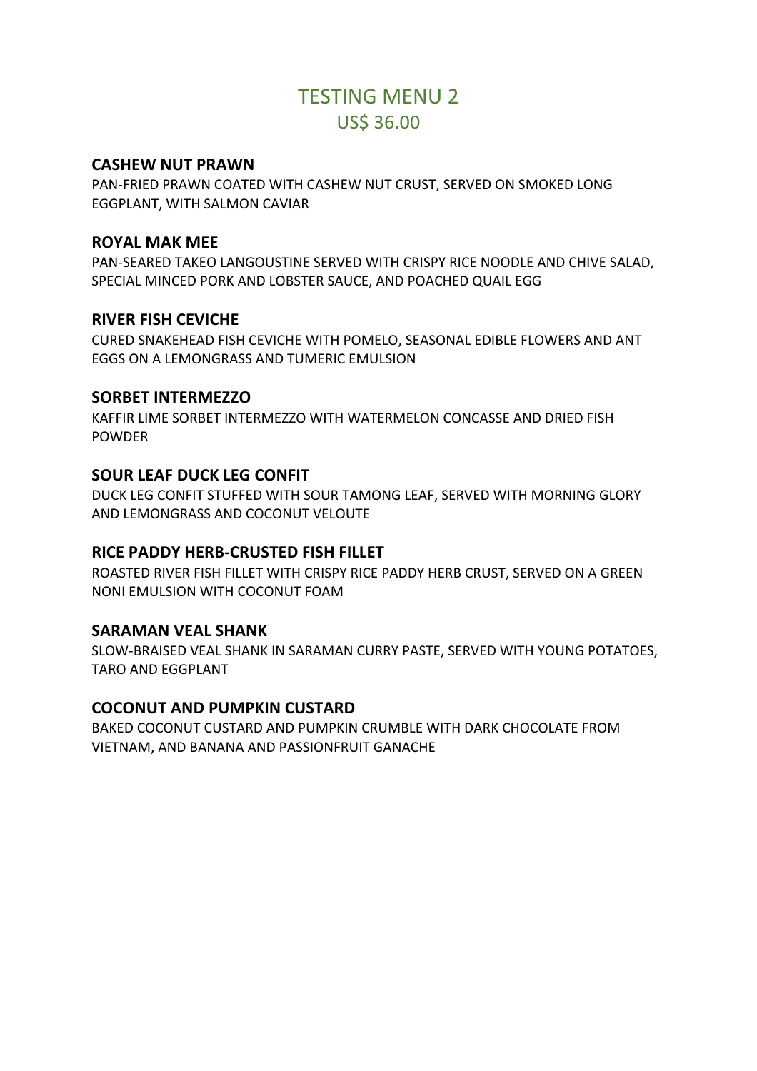# **TESTING MENU 2** US\$ 36.00

#### **CASHEW NUT PRAWN**

PAN-FRIED PRAWN COATED WITH CASHEW NUT CRUST, SERVED ON SMOKED LONG EGGPLANT, WITH SALMON CAVIAR

#### **ROYAL MAK MEE**

PAN-SEARED TAKEO LANGOUSTINE SERVED WITH CRISPY RICE NOODLE AND CHIVE SALAD. SPECIAL MINCED PORK AND LOBSTER SAUCE, AND POACHED QUAIL EGG

### **RIVER FISH CEVICHE**

CURED SNAKEHEAD FISH CEVICHE WITH POMELO, SEASONAL EDIBLE FLOWERS AND ANT EGGS ON A LEMONGRASS AND TUMERIC EMULSION

### **SORBET INTERMEZZO**

KAFFIR LIME SORBET INTERMEZZO WITH WATERMELON CONCASSE AND DRIED FISH POWDER 

### **SOUR LEAF DUCK LEG CONFIT**

DUCK LEG CONFIT STUFFED WITH SOUR TAMONG LEAF, SERVED WITH MORNING GLORY AND LEMONGRASS AND COCONUT VELOUTE

### **RICE PADDY HERB-CRUSTED FISH FILLET**

ROASTED RIVER FISH FILLET WITH CRISPY RICE PADDY HERB CRUST, SERVED ON A GREEN NONI EMULSION WITH COCONUT FOAM

#### **SARAMAN VEAL SHANK**

SLOW-BRAISED VEAL SHANK IN SARAMAN CURRY PASTE, SERVED WITH YOUNG POTATOES, TARO AND EGGPLANT

### **COCONUT AND PUMPKIN CUSTARD**

BAKED COCONUT CUSTARD AND PUMPKIN CRUMBLE WITH DARK CHOCOLATE FROM VIETNAM, AND BANANA AND PASSIONFRUIT GANACHE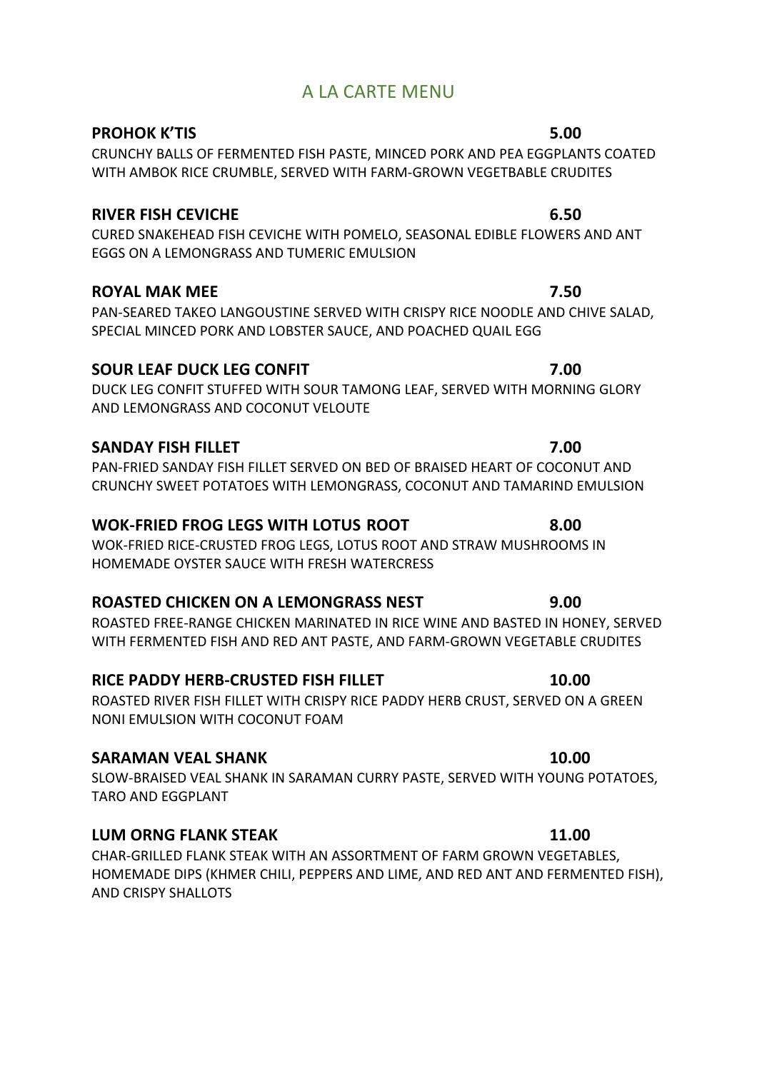# A LA CARTE MENU

#### **PROHOK K'TIS** 5.00

CRUNCHY BALLS OF FERMENTED FISH PASTE, MINCED PORK AND PEA EGGPLANTS COATED WITH AMBOK RICE CRUMBLE, SERVED WITH FARM-GROWN VEGETBABLE CRUDITES

### **RIVER FISH CEVICHE 6.50**

CURED SNAKEHEAD FISH CEVICHE WITH POMELO, SEASONAL EDIBLE FLOWERS AND ANT EGGS ON A LEMONGRASS AND TUMERIC EMULSION 

# **ROYAL MAK MEE** 7.50

PAN-SEARED TAKEO LANGOUSTINE SERVED WITH CRISPY RICE NOODLE AND CHIVE SALAD, SPECIAL MINCED PORK AND LOBSTER SAUCE, AND POACHED QUAIL EGG

# **SOUR LEAF DUCK LEG CONFIT 1200**

DUCK LEG CONFIT STUFFED WITH SOUR TAMONG LEAF, SERVED WITH MORNING GLORY AND LEMONGRASS AND COCONUT VELOUTE

# **SANDAY FISH FILLET 7.00**

PAN-FRIED SANDAY FISH FILLET SERVED ON BED OF BRAISED HEART OF COCONUT AND CRUNCHY SWEET POTATOES WITH LEMONGRASS, COCONUT AND TAMARIND EMULSION

# **WOK-FRIED FROG LEGS WITH LOTUS ROOT 8.00**

WOK-FRIED RICE-CRUSTED FROG LEGS, LOTUS ROOT AND STRAW MUSHROOMS IN HOMEMADE OYSTER SAUCE WITH FRESH WATERCRESS

# **ROASTED CHICKEN ON A LEMONGRASS NEST 3.00**

ROASTED FREE-RANGE CHICKEN MARINATED IN RICE WINE AND BASTED IN HONEY, SERVED WITH FERMENTED FISH AND RED ANT PASTE, AND FARM-GROWN VEGETABLE CRUDITES

# **RICE PADDY HERB-CRUSTED FISH FILLET 10.00**

ROASTED RIVER FISH FILLET WITH CRISPY RICE PADDY HERB CRUST, SERVED ON A GREEN NONI EMULSION WITH COCONUT FOAM

# **SARAMAN VEAL SHANK 10.00**

SLOW-BRAISED VEAL SHANK IN SARAMAN CURRY PASTE, SERVED WITH YOUNG POTATOES, TARO AND EGGPLANT

# **LUM ORNG FLANK STEAK 11.00**

CHAR-GRILLED FLANK STEAK WITH AN ASSORTMENT OF FARM GROWN VEGETABLES. HOMEMADE DIPS (KHMER CHILI, PEPPERS AND LIME, AND RED ANT AND FERMENTED FISH), AND CRISPY SHALLOTS